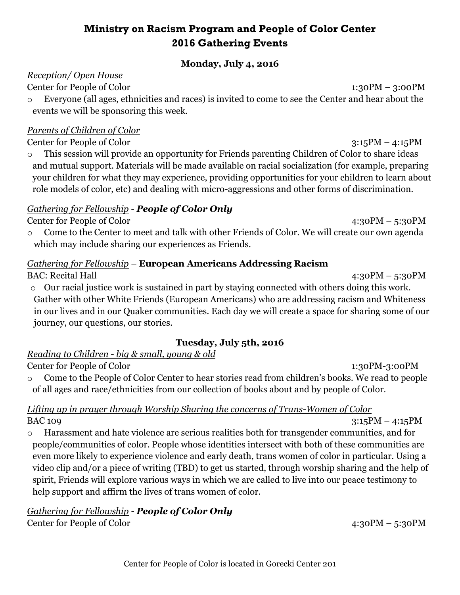## **Ministry on Racism Program and People of Color Center 2016 Gathering Events**

#### **Monday, July 4, 2016**

#### *Reception/ Open House*

Center for People of Color 1:30PM – 3:00PM

o Everyone (all ages, ethnicities and races) is invited to come to see the Center and hear about the events we will be sponsoring this week.

#### *Parents of Children of Color*

Center for People of Color 3:15PM – 4:15PM

o This session will provide an opportunity for Friends parenting Children of Color to share ideas and mutual support. Materials will be made available on racial socialization (for example, preparing your children for what they may experience, providing opportunities for your children to learn about role models of color, etc) and dealing with micro-aggressions and other forms of discrimination.

### *Gathering for Fellowship - People of Color Only*

#### Center for People of Color 4:30PM – 5:30PM

o Come to the Center to meet and talk with other Friends of Color. We will create our own agenda which may include sharing our experiences as Friends.

#### *Gathering for Fellowship* – **European Americans Addressing Racism**

BAC: Recital Hall 4:30PM – 5:30PM

o Our racial justice work is sustained in part by staying connected with others doing this work. Gather with other White Friends (European Americans) who are addressing racism and Whiteness in our lives and in our Quaker communities. Each day we will create a space for sharing some of our journey, our questions, our stories.

#### **Tuesday, July 5th, 2016**

# *Reading to Children - big & small, young & old*

Center for People of Color 1:30PM-3:00PM

o Come to the People of Color Center to hear stories read from children's books. We read to people of all ages and race/ethnicities from our collection of books about and by people of Color.

#### *Lifting up in prayer through Worship Sharing the concerns of Trans-Women of Color*  $BAC 109$   $3:15PM - 4:15PM$

o Harassment and hate violence are serious realities both for transgender communities, and for people/communities of color. People whose identities intersect with both of these communities are even more likely to experience violence and early death, trans women of color in particular. Using a video clip and/or a piece of writing (TBD) to get us started, through worship sharing and the help of spirit, Friends will explore various ways in which we are called to live into our peace testimony to help support and affirm the lives of trans women of color.

*Gathering for Fellowship - People of Color Only* Center for People of Color 4:30PM – 5:30PM